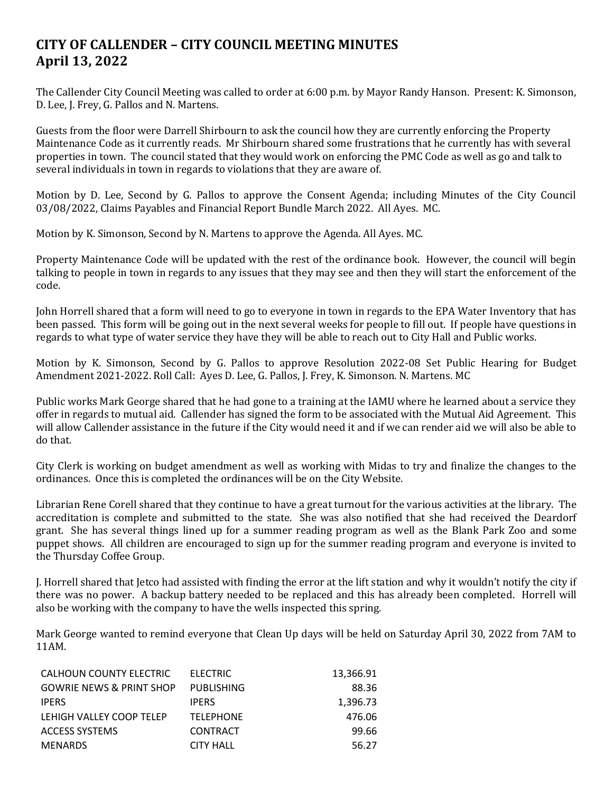## **CITY OF CALLENDER – CITY COUNCIL MEETING MINUTES April 13, 2022**

The Callender City Council Meeting was called to order at 6:00 p.m. by Mayor Randy Hanson. Present: K. Simonson, D. Lee, J. Frey, G. Pallos and N. Martens.

Guests from the floor were Darrell Shirbourn to ask the council how they are currently enforcing the Property Maintenance Code as it currently reads. Mr Shirbourn shared some frustrations that he currently has with several properties in town. The council stated that they would work on enforcing the PMC Code as well as go and talk to several individuals in town in regards to violations that they are aware of.

Motion by D. Lee, Second by G. Pallos to approve the Consent Agenda; including Minutes of the City Council 03/08/2022, Claims Payables and Financial Report Bundle March 2022. All Ayes. MC.

Motion by K. Simonson, Second by N. Martens to approve the Agenda. All Ayes. MC.

Property Maintenance Code will be updated with the rest of the ordinance book. However, the council will begin talking to people in town in regards to any issues that they may see and then they will start the enforcement of the code.

John Horrell shared that a form will need to go to everyone in town in regards to the EPA Water Inventory that has been passed. This form will be going out in the next several weeks for people to fill out. If people have questions in regards to what type of water service they have they will be able to reach out to City Hall and Public works.

Motion by K. Simonson, Second by G. Pallos to approve Resolution 2022-08 Set Public Hearing for Budget Amendment 2021-2022. Roll Call: Ayes D. Lee, G. Pallos, J. Frey, K. Simonson. N. Martens. MC

Public works Mark George shared that he had gone to a training at the IAMU where he learned about a service they offer in regards to mutual aid. Callender has signed the form to be associated with the Mutual Aid Agreement. This will allow Callender assistance in the future if the City would need it and if we can render aid we will also be able to do that.

City Clerk is working on budget amendment as well as working with Midas to try and finalize the changes to the ordinances. Once this is completed the ordinances will be on the City Website.

Librarian Rene Corell shared that they continue to have a great turnout for the various activities at the library. The accreditation is complete and submitted to the state. She was also notified that she had received the Deardorf grant. She has several things lined up for a summer reading program as well as the Blank Park Zoo and some puppet shows. All children are encouraged to sign up for the summer reading program and everyone is invited to the Thursday Coffee Group.

J. Horrell shared that Jetco had assisted with finding the error at the lift station and why it wouldn't notify the city if there was no power. A backup battery needed to be replaced and this has already been completed. Horrell will also be working with the company to have the wells inspected this spring.

Mark George wanted to remind everyone that Clean Up days will be held on Saturday April 30, 2022 from 7AM to 11AM.

| CALHOUN COUNTY ELECTRIC             | ELECTRIC          | 13,366.91 |
|-------------------------------------|-------------------|-----------|
| <b>GOWRIE NEWS &amp; PRINT SHOP</b> | <b>PUBLISHING</b> | 88.36     |
| <b>IPERS</b>                        | <b>IPERS</b>      | 1,396.73  |
| LEHIGH VALLEY COOP TELEP            | <b>TELEPHONE</b>  | 476.06    |
| <b>ACCESS SYSTEMS</b>               | <b>CONTRACT</b>   | 99.66     |
| <b>MENARDS</b>                      | <b>CITY HALL</b>  | 56.27     |